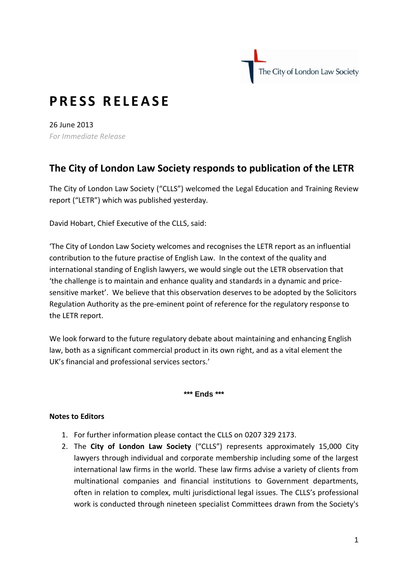The City of London Law Society

## **P R E S S R E L E A S E**

26 June 2013 *For Immediate Release* 

## **The City of London Law Society responds to publication of the LETR**

[The City of London Law Society](http://www.citysolicitors.org.uk/) ("CLLS") welcomed the Legal Education and Training Review report ("LETR") which was published yesterday.

David Hobart, Chief Executive of the CLLS, said:

'The City of London Law Society welcomes and recognises the LETR report as an influential contribution to the future practise of English Law. In the context of the quality and international standing of English lawyers, we would single out the LETR observation that 'the challenge is to maintain and enhance quality and standards in a dynamic and pricesensitive market'. We believe that this observation deserves to be adopted by the Solicitors Regulation Authority as the pre-eminent point of reference for the regulatory response to the LETR report.

We look forward to the future regulatory debate about maintaining and enhancing English law, both as a significant commercial product in its own right, and as a vital element the UK's financial and professional services sectors.'

**\*\*\* Ends \*\*\***

## **Notes to Editors**

- 1. For further information please contact the CLLS on 0207 329 2173.
- 2. The **City of London Law Society** ("CLLS") represents approximately 15,000 City lawyers through individual and corporate membership including some of the largest international law firms in the world. These law firms advise a variety of clients from multinational companies and financial institutions to Government departments, often in relation to complex, multi jurisdictional legal issues. The CLLS's professional work is conducted through nineteen specialist Committees drawn from the Society's